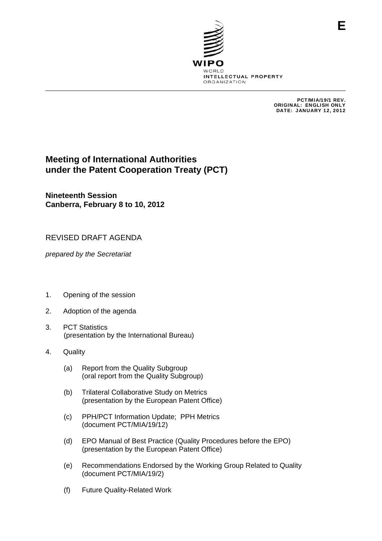

PCT/MIA/19/1 REV. ORIGINAL: ENGLISH ONLY DATE: JANUARY 12, 2012

## **Meeting of International Authorities under the Patent Cooperation Treaty (PCT)**

**Nineteenth Session Canberra, February 8 to 10, 2012** 

## REVISED DRAFT AGENDA

*prepared by the Secretariat* 

- 1. Opening of the session
- 2. Adoption of the agenda
- 3. PCT Statistics (presentation by the International Bureau)
- 4. Quality
	- (a) Report from the Quality Subgroup (oral report from the Quality Subgroup)
	- (b) Trilateral Collaborative Study on Metrics (presentation by the European Patent Office)
	- (c) PPH/PCT Information Update; PPH Metrics (document PCT/MIA/19/12)
	- (d) EPO Manual of Best Practice (Quality Procedures before the EPO) (presentation by the European Patent Office)
	- (e) Recommendations Endorsed by the Working Group Related to Quality (document PCT/MIA/19/2)
	- (f) Future Quality-Related Work

**E**